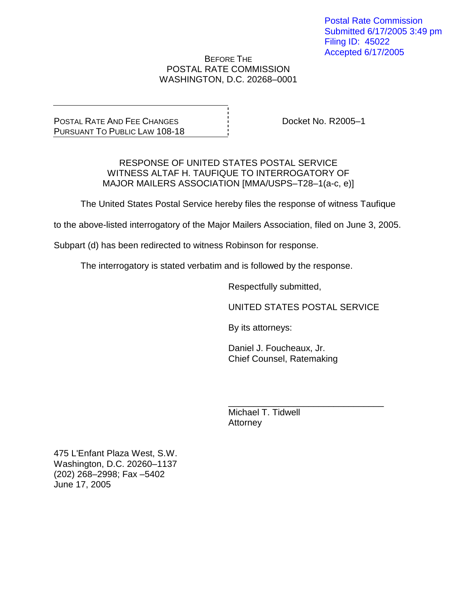#### BEFORE THE POSTAL RATE COMMISSION WASHINGTON, D.C. 20268–0001

POSTAL RATE AND FEE CHANGES PURSUANT TO PUBLIC LAW 108-18

Docket No. R2005–1

RESPONSE OF UNITED STATES POSTAL SERVICE WITNESS ALTAF H. TAUFIQUE TO INTERROGATORY OF MAJOR MAILERS ASSOCIATION [MMA/USPS–T28–1(a-c, e)]

The United States Postal Service hereby files the response of witness Taufique

to the above-listed interrogatory of the Major Mailers Association, filed on June 3, 2005.

Subpart (d) has been redirected to witness Robinson for response.

The interrogatory is stated verbatim and is followed by the response.

Respectfully submitted,

UNITED STATES POSTAL SERVICE

By its attorneys:

Daniel J. Foucheaux, Jr. Chief Counsel, Ratemaking

\_\_\_\_\_\_\_\_\_\_\_\_\_\_\_\_\_\_\_\_\_\_\_\_\_\_\_\_\_\_\_ Michael T. Tidwell **Attorney** 

475 L'Enfant Plaza West, S.W. Washington, D.C. 20260–1137 (202) 268–2998; Fax –5402 June 17, 2005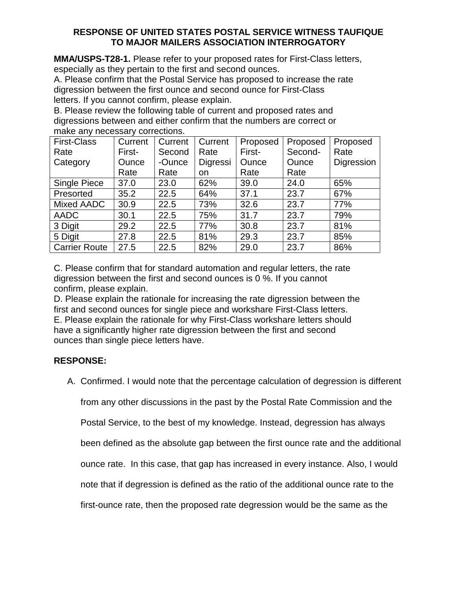## **RESPONSE OF UNITED STATES POSTAL SERVICE WITNESS TAUFIQUE TO MAJOR MAILERS ASSOCIATION INTERROGATORY**

**MMA/USPS-T28-1.** Please refer to your proposed rates for First-Class letters, especially as they pertain to the first and second ounces.

A. Please confirm that the Postal Service has proposed to increase the rate digression between the first ounce and second ounce for First-Class letters. If you cannot confirm, please explain.

B. Please review the following table of current and proposed rates and digressions between and either confirm that the numbers are correct or make any necessary corrections.

| <b>First-Class</b>   | Current | Current | Current  | Proposed | Proposed     | Proposed   |
|----------------------|---------|---------|----------|----------|--------------|------------|
| Rate                 | First-  | Second  | Rate     | First-   | Second-      | Rate       |
| Category             | Ounce   | -Ounce  | Digressi | Ounce    | <b>Ounce</b> | Digression |
|                      | Rate    | Rate    | on       | Rate     | Rate         |            |
| <b>Single Piece</b>  | 37.0    | 23.0    | 62%      | 39.0     | 24.0         | 65%        |
| Presorted            | 35.2    | 22.5    | 64%      | 37.1     | 23.7         | 67%        |
| Mixed AADC           | 30.9    | 22.5    | 73%      | 32.6     | 23.7         | 77%        |
| <b>AADC</b>          | 30.1    | 22.5    | 75%      | 31.7     | 23.7         | 79%        |
| 3 Digit              | 29.2    | 22.5    | 77%      | 30.8     | 23.7         | 81%        |
| 5 Digit              | 27.8    | 22.5    | 81%      | 29.3     | 23.7         | 85%        |
| <b>Carrier Route</b> | 27.5    | 22.5    | 82%      | 29.0     | 23.7         | 86%        |

C. Please confirm that for standard automation and regular letters, the rate digression between the first and second ounces is 0 %. If you cannot confirm, please explain.

D. Please explain the rationale for increasing the rate digression between the first and second ounces for single piece and workshare First-Class letters. E. Please explain the rationale for why First-Class workshare letters should have a significantly higher rate digression between the first and second ounces than single piece letters have.

# **RESPONSE:**

A. Confirmed. I would note that the percentage calculation of degression is different

from any other discussions in the past by the Postal Rate Commission and the

Postal Service, to the best of my knowledge. Instead, degression has always

been defined as the absolute gap between the first ounce rate and the additional

ounce rate. In this case, that gap has increased in every instance. Also, I would

note that if degression is defined as the ratio of the additional ounce rate to the

first-ounce rate, then the proposed rate degression would be the same as the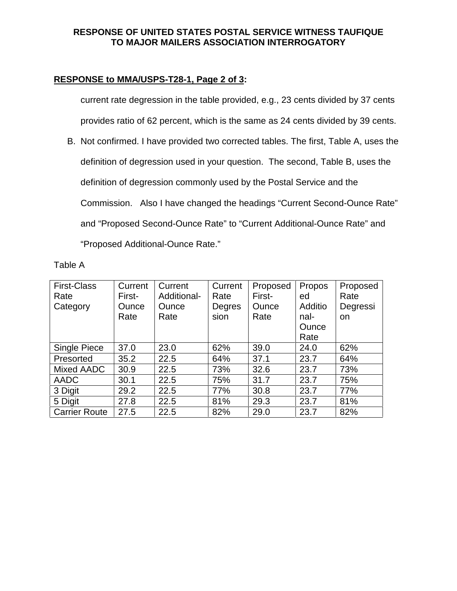## **RESPONSE OF UNITED STATES POSTAL SERVICE WITNESS TAUFIQUE TO MAJOR MAILERS ASSOCIATION INTERROGATORY**

# **RESPONSE to MMA/USPS-T28-1, Page 2 of 3:**

current rate degression in the table provided, e.g., 23 cents divided by 37 cents provides ratio of 62 percent, which is the same as 24 cents divided by 39 cents.

B. Not confirmed. I have provided two corrected tables. The first, Table A, uses the definition of degression used in your question. The second, Table B, uses the definition of degression commonly used by the Postal Service and the Commission. Also I have changed the headings "Current Second-Ounce Rate" and "Proposed Second-Ounce Rate" to "Current Additional-Ounce Rate" and "Proposed Additional-Ounce Rate."

| `able |
|-------|
|-------|

| <b>First-Class</b>   | Current | Current     | Current | Proposed | Propos         | Proposed |
|----------------------|---------|-------------|---------|----------|----------------|----------|
| Rate                 | First-  | Additional- | Rate    | First-   | ed             | Rate     |
| Category             | Ounce   | Ounce       | Degres  | Ounce    | <b>Additio</b> | Degressi |
|                      | Rate    | Rate        | sion    | Rate     | nal-           | on       |
|                      |         |             |         |          | Ounce          |          |
|                      |         |             |         |          | Rate           |          |
| <b>Single Piece</b>  | 37.0    | 23.0        | 62%     | 39.0     | 24.0           | 62%      |
| Presorted            | 35.2    | 22.5        | 64%     | 37.1     | 23.7           | 64%      |
| Mixed AADC           | 30.9    | 22.5        | 73%     | 32.6     | 23.7           | 73%      |
| AADC                 | 30.1    | 22.5        | 75%     | 31.7     | 23.7           | 75%      |
| 3 Digit              | 29.2    | 22.5        | 77%     | 30.8     | 23.7           | 77%      |
| 5 Digit              | 27.8    | 22.5        | 81%     | 29.3     | 23.7           | 81%      |
| <b>Carrier Route</b> | 27.5    | 22.5        | 82%     | 29.0     | 23.7           | 82%      |